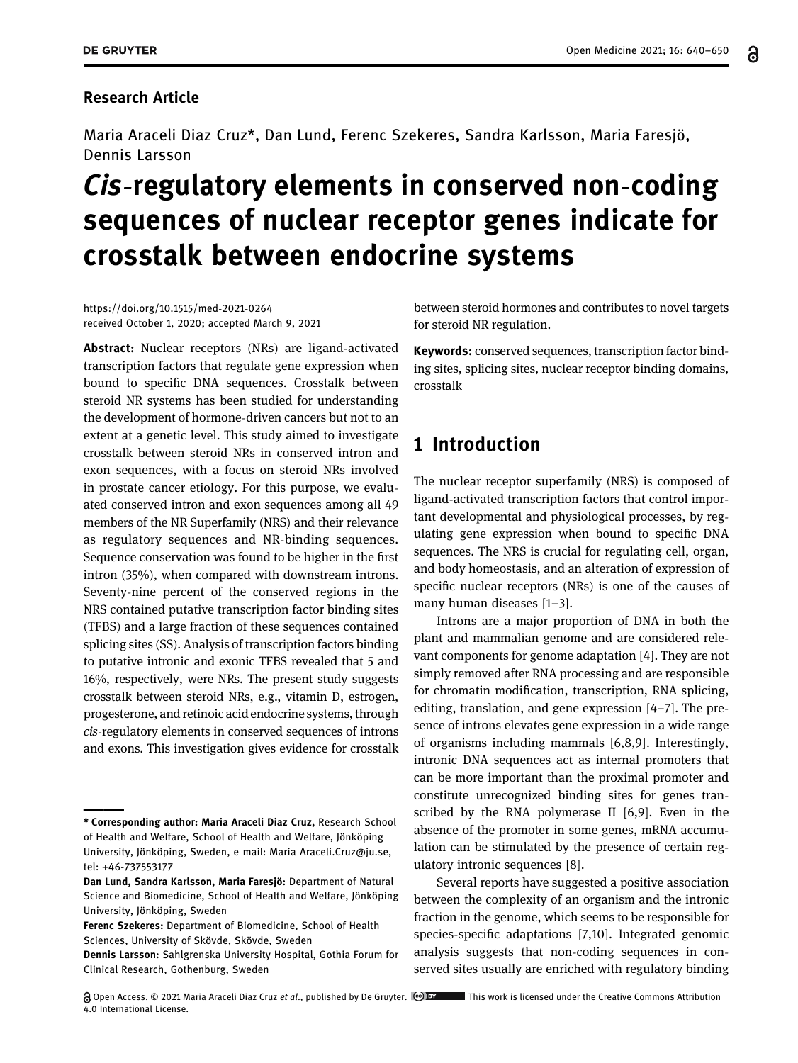### Research Article

Maria Araceli Diaz Cruz\*, Dan Lund, Ferenc Szekeres, Sandra Karlsson, Maria Faresjö, Dennis Larsson

# Cis-regulatory elements in conserved non-coding sequences of nuclear receptor genes indicate for crosstalk between endocrine systems

[https://doi.org/10.1515/med](https://doi.org/10.1515/med-2021-0264)-2021-0264 received October 1, 2020; accepted March 9, 2021

Abstract: Nuclear receptors (NRs) are ligand-activated transcription factors that regulate gene expression when bound to specific DNA sequences. Crosstalk between steroid NR systems has been studied for understanding the development of hormone-driven cancers but not to an extent at a genetic level. This study aimed to investigate crosstalk between steroid NRs in conserved intron and exon sequences, with a focus on steroid NRs involved in prostate cancer etiology. For this purpose, we evaluated conserved intron and exon sequences among all 49 members of the NR Superfamily (NRS) and their relevance as regulatory sequences and NR-binding sequences. Sequence conservation was found to be higher in the first intron (35%), when compared with downstream introns. Seventy-nine percent of the conserved regions in the NRS contained putative transcription factor binding sites (TFBS) and a large fraction of these sequences contained splicing sites (SS). Analysis of transcription factors binding to putative intronic and exonic TFBS revealed that 5 and 16%, respectively, were NRs. The present study suggests crosstalk between steroid NRs, e.g., vitamin D, estrogen, progesterone, and retinoic acid endocrine systems, through cis-regulatory elements in conserved sequences of introns and exons. This investigation gives evidence for crosstalk

between steroid hormones and contributes to novel targets for steroid NR regulation.

Keywords: conserved sequences, transcription factor binding sites, splicing sites, nuclear receptor binding domains, crosstalk

# 1 Introduction

The nuclear receptor superfamily (NRS) is composed of ligand-activated transcription factors that control important developmental and physiological processes, by regulating gene expression when bound to specific DNA sequences. The NRS is crucial for regulating cell, organ, and body homeostasis, and an alteration of expression of specific nuclear receptors (NRs) is one of the causes of many human diseases [[1](#page-8-0)–[3](#page-9-0)].

Introns are a major proportion of DNA in both the plant and mammalian genome and are considered relevant components for genome adaptation [[4](#page-9-1)]. They are not simply removed after RNA processing and are responsible for chromatin modification, transcription, RNA splicing, editing, translation, and gene expression [[4](#page-9-1)–[7](#page-9-2)]. The presence of introns elevates gene expression in a wide range of organisms including mammals [[6,](#page-9-3)[8,](#page-9-4)[9](#page-9-5)]. Interestingly, intronic DNA sequences act as internal promoters that can be more important than the proximal promoter and constitute unrecognized binding sites for genes transcribed by the RNA polymerase II [[6](#page-9-3)[,9](#page-9-5)]. Even in the absence of the promoter in some genes, mRNA accumulation can be stimulated by the presence of certain regulatory intronic sequences [[8](#page-9-4)].

Several reports have suggested a positive association between the complexity of an organism and the intronic fraction in the genome, which seems to be responsible for species-specific adaptations [[7](#page-9-2),[10](#page-9-6)]. Integrated genomic analysis suggests that non-coding sequences in conserved sites usually are enriched with regulatory binding

<sup>\*</sup> Corresponding author: Maria Araceli Diaz Cruz, Research School of Health and Welfare, School of Health and Welfare, Jönköping University, Jönköping, Sweden, e-mail: Maria-[Araceli.Cruz@ju.se](mailto:Maria-Araceli.Cruz@ju.se), tel: +46-737553177

Dan Lund, Sandra Karlsson, Maria Faresjö: Department of Natural Science and Biomedicine, School of Health and Welfare, Jönköping University, Jönköping, Sweden

Ferenc Szekeres: Department of Biomedicine, School of Health Sciences, University of Skövde, Skövde, Sweden

Dennis Larsson: Sahlgrenska University Hospital, Gothia Forum for Clinical Research, Gothenburg, Sweden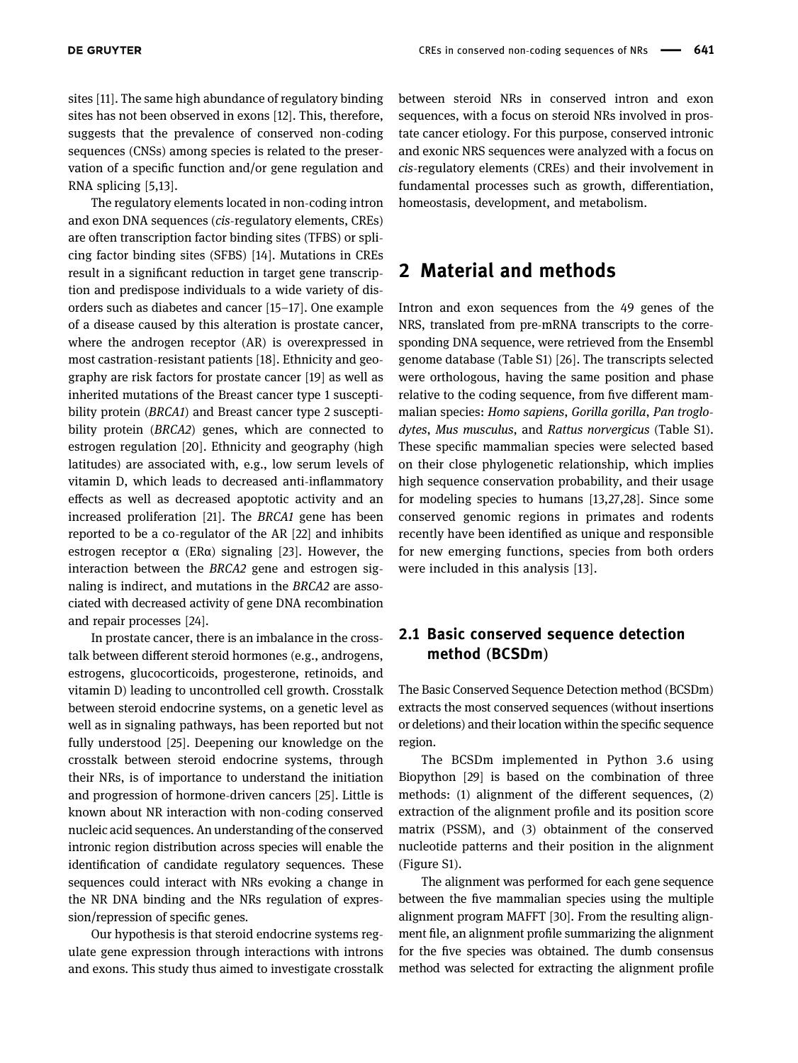sites [[11](#page-9-7)]. The same high abundance of regulatory binding sites has not been observed in exons [[12](#page-9-8)]. This, therefore, suggests that the prevalence of conserved non-coding sequences (CNSs) among species is related to the preservation of a specific function and/or gene regulation and RNA splicing [[5,](#page-9-9)[13](#page-9-10)].

The regulatory elements located in non-coding intron and exon DNA sequences (cis-regulatory elements, CREs) are often transcription factor binding sites (TFBS) or splicing factor binding sites (SFBS) [[14](#page-9-11)]. Mutations in CREs result in a significant reduction in target gene transcription and predispose individuals to a wide variety of disorders such as diabetes and cancer [[15](#page-9-12)–[17](#page-9-13)]. One example of a disease caused by this alteration is prostate cancer, where the androgen receptor (AR) is overexpressed in most castration-resistant patients [[18](#page-9-14)]. Ethnicity and geography are risk factors for prostate cancer [[19](#page-9-15)] as well as inherited mutations of the Breast cancer type 1 susceptibility protein (BRCA1) and Breast cancer type 2 susceptibility protein (BRCA2) genes, which are connected to estrogen regulation [[20](#page-9-16)]. Ethnicity and geography (high latitudes) are associated with, e.g., low serum levels of vitamin D, which leads to decreased anti-inflammatory effects as well as decreased apoptotic activity and an increased proliferation [[21](#page-9-17)]. The BRCA1 gene has been reported to be a co-regulator of the AR [[22](#page-9-18)] and inhibits estrogen receptor  $\alpha$  (ER $\alpha$ ) signaling [[23](#page-9-19)]. However, the interaction between the BRCA2 gene and estrogen signaling is indirect, and mutations in the BRCA2 are associated with decreased activity of gene DNA recombination and repair processes [[24](#page-9-20)].

In prostate cancer, there is an imbalance in the crosstalk between different steroid hormones (e.g., androgens, estrogens, glucocorticoids, progesterone, retinoids, and vitamin D) leading to uncontrolled cell growth. Crosstalk between steroid endocrine systems, on a genetic level as well as in signaling pathways, has been reported but not fully understood [[25](#page-9-21)]. Deepening our knowledge on the crosstalk between steroid endocrine systems, through their NRs, is of importance to understand the initiation and progression of hormone-driven cancers [[25](#page-9-21)]. Little is known about NR interaction with non-coding conserved nucleic acid sequences. An understanding of the conserved intronic region distribution across species will enable the identification of candidate regulatory sequences. These sequences could interact with NRs evoking a change in the NR DNA binding and the NRs regulation of expression/repression of specific genes.

Our hypothesis is that steroid endocrine systems regulate gene expression through interactions with introns and exons. This study thus aimed to investigate crosstalk between steroid NRs in conserved intron and exon sequences, with a focus on steroid NRs involved in prostate cancer etiology. For this purpose, conserved intronic and exonic NRS sequences were analyzed with a focus on cis-regulatory elements (CREs) and their involvement in fundamental processes such as growth, differentiation, homeostasis, development, and metabolism.

# 2 Material and methods

Intron and exon sequences from the 49 genes of the NRS, translated from pre-mRNA transcripts to the corresponding DNA sequence, were retrieved from the Ensembl genome database (Table S1) [[26](#page-9-22)]. The transcripts selected were orthologous, having the same position and phase relative to the coding sequence, from five different mammalian species: Homo sapiens, Gorilla gorilla, Pan troglodytes, Mus musculus, and Rattus norvergicus (Table S1). These specific mammalian species were selected based on their close phylogenetic relationship, which implies high sequence conservation probability, and their usage for modeling species to humans [[13](#page-9-10)[,27,](#page-9-23)[28](#page-9-24)]. Since some conserved genomic regions in primates and rodents recently have been identified as unique and responsible for new emerging functions, species from both orders were included in this analysis [[13](#page-9-10)].

### 2.1 Basic conserved sequence detection method (BCSDm)

The Basic Conserved Sequence Detection method (BCSDm) extracts the most conserved sequences (without insertions or deletions) and their location within the specific sequence region.

The BCSDm implemented in Python 3.6 using Biopython [[29](#page-9-25)] is based on the combination of three methods: (1) alignment of the different sequences, (2) extraction of the alignment profile and its position score matrix (PSSM), and (3) obtainment of the conserved nucleotide patterns and their position in the alignment (Figure S1).

The alignment was performed for each gene sequence between the five mammalian species using the multiple alignment program MAFFT [[30](#page-9-26)]. From the resulting alignment file, an alignment profile summarizing the alignment for the five species was obtained. The dumb consensus method was selected for extracting the alignment profile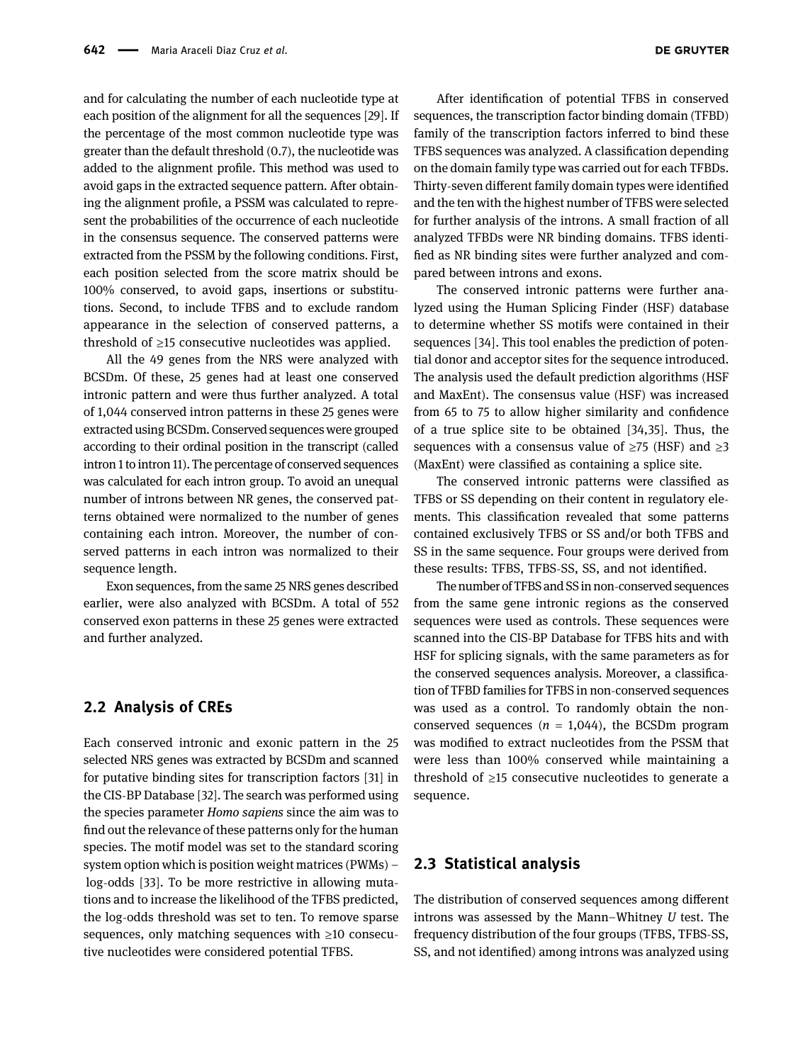and for calculating the number of each nucleotide type at each position of the alignment for all the sequences [[29](#page-9-25)]. If the percentage of the most common nucleotide type was greater than the default threshold (0.7), the nucleotide was added to the alignment profile. This method was used to avoid gaps in the extracted sequence pattern. After obtaining the alignment profile, a PSSM was calculated to represent the probabilities of the occurrence of each nucleotide in the consensus sequence. The conserved patterns were extracted from the PSSM by the following conditions. First, each position selected from the score matrix should be 100% conserved, to avoid gaps, insertions or substitutions. Second, to include TFBS and to exclude random appearance in the selection of conserved patterns, a threshold of  $\geq$ 15 consecutive nucleotides was applied.

All the 49 genes from the NRS were analyzed with BCSDm. Of these, 25 genes had at least one conserved intronic pattern and were thus further analyzed. A total of 1,044 conserved intron patterns in these 25 genes were extracted using BCSDm. Conserved sequences were grouped according to their ordinal position in the transcript (called intron 1 to intron 11). The percentage of conserved sequences was calculated for each intron group. To avoid an unequal number of introns between NR genes, the conserved patterns obtained were normalized to the number of genes containing each intron. Moreover, the number of conserved patterns in each intron was normalized to their sequence length.

Exon sequences, from the same 25 NRS genes described earlier, were also analyzed with BCSDm. A total of 552 conserved exon patterns in these 25 genes were extracted and further analyzed.

#### 2.2 Analysis of CREs

Each conserved intronic and exonic pattern in the 25 selected NRS genes was extracted by BCSDm and scanned for putative binding sites for transcription factors [[31](#page-9-27)] in the CIS-BP Database [[32](#page-9-28)]. The search was performed using the species parameter Homo sapiens since the aim was to find out the relevance of these patterns only for the human species. The motif model was set to the standard scoring system option which is position weight matrices (PWMs) – log-odds [[33](#page-9-29)]. To be more restrictive in allowing mutations and to increase the likelihood of the TFBS predicted, the log-odds threshold was set to ten. To remove sparse sequences, only matching sequences with ≥10 consecutive nucleotides were considered potential TFBS.

After identification of potential TFBS in conserved sequences, the transcription factor binding domain (TFBD) family of the transcription factors inferred to bind these TFBS sequences was analyzed. A classification depending on the domain family type was carried out for each TFBDs. Thirty-seven different family domain types were identified and the ten with the highest number of TFBS were selected for further analysis of the introns. A small fraction of all analyzed TFBDs were NR binding domains. TFBS identified as NR binding sites were further analyzed and compared between introns and exons.

The conserved intronic patterns were further analyzed using the Human Splicing Finder (HSF) database to determine whether SS motifs were contained in their sequences [[34](#page-9-30)]. This tool enables the prediction of potential donor and acceptor sites for the sequence introduced. The analysis used the default prediction algorithms (HSF and MaxEnt). The consensus value (HSF) was increased from 65 to 75 to allow higher similarity and confidence of a true splice site to be obtained [[34,](#page-9-30)[35](#page-9-31)]. Thus, the sequences with a consensus value of  $\geq$ 75 (HSF) and  $\geq$ 3 (MaxEnt) were classified as containing a splice site.

The conserved intronic patterns were classified as TFBS or SS depending on their content in regulatory elements. This classification revealed that some patterns contained exclusively TFBS or SS and/or both TFBS and SS in the same sequence. Four groups were derived from these results: TFBS, TFBS-SS, SS, and not identified.

The number of TFBS and SSin non-conserved sequences from the same gene intronic regions as the conserved sequences were used as controls. These sequences were scanned into the CIS-BP Database for TFBS hits and with HSF for splicing signals, with the same parameters as for the conserved sequences analysis. Moreover, a classification of TFBD families for TFBS in non-conserved sequences was used as a control. To randomly obtain the nonconserved sequences ( $n = 1,044$ ), the BCSDm program was modified to extract nucleotides from the PSSM that were less than 100% conserved while maintaining a threshold of  $\geq$ 15 consecutive nucleotides to generate a sequence.

#### 2.3 Statistical analysis

The distribution of conserved sequences among different introns was assessed by the Mann–Whitney U test. The frequency distribution of the four groups (TFBS, TFBS-SS, SS, and not identified) among introns was analyzed using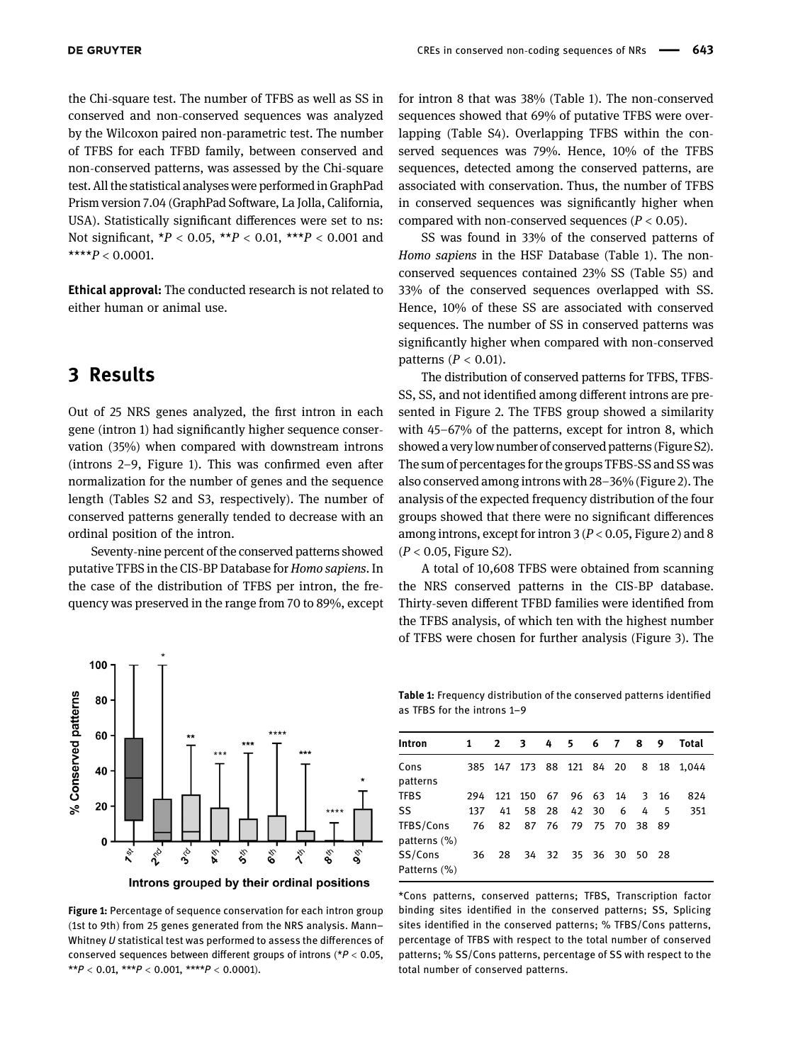the Chi-square test. The number of TFBS as well as SS in conserved and non-conserved sequences was analyzed by the Wilcoxon paired non-parametric test. The number of TFBS for each TFBD family, between conserved and non-conserved patterns, was assessed by the Chi-square test. All the statistical analyses were performed in GraphPad Prism version 7.04 (GraphPad Software, La Jolla, California, USA). Statistically significant differences were set to ns: Not significant,  $*P < 0.05$ ,  $**P < 0.01$ ,  $***P < 0.001$  and \*\*\*\* $P < 0.0001$ .

Ethical approval: The conducted research is not related to either human or animal use.

### 3 Results

Out of 25 NRS genes analyzed, the first intron in each gene (intron 1) had significantly higher sequence conservation (35%) when compared with downstream introns (introns 2–9, [Figure 1](#page-3-0)). This was confirmed even after normalization for the number of genes and the sequence length (Tables S2 and S3, respectively). The number of conserved patterns generally tended to decrease with an ordinal position of the intron.

Seventy-nine percent of the conserved patterns showed putative TFBS in the CIS-BP Database for *Homo sapiens*. In the case of the distribution of TFBS per intron, the frequency was preserved in the range from 70 to 89%, except

<span id="page-3-0"></span>

Introns grouped by their ordinal positions

Figure 1: Percentage of sequence conservation for each intron group (1st to 9th) from 25 genes generated from the NRS analysis. Mann– Whitney U statistical test was performed to assess the differences of conserved sequences between different groups of introns ( $P < 0.05$ , \*\* $P < 0.01$ , \*\*\* $P < 0.001$ , \*\*\*\* $P < 0.0001$ ).

for intron 8 that was 38% ([Table 1](#page-3-1)). The non-conserved sequences showed that 69% of putative TFBS were overlapping (Table S4). Overlapping TFBS within the conserved sequences was 79%. Hence, 10% of the TFBS sequences, detected among the conserved patterns, are associated with conservation. Thus, the number of TFBS in conserved sequences was significantly higher when compared with non-conserved sequences ( $P < 0.05$ ).

SS was found in 33% of the conserved patterns of Homo sapiens in the HSF Database ([Table 1](#page-3-1)). The nonconserved sequences contained 23% SS (Table S5) and 33% of the conserved sequences overlapped with SS. Hence, 10% of these SS are associated with conserved sequences. The number of SS in conserved patterns was significantly higher when compared with non-conserved patterns ( $P < 0.01$ ).

The distribution of conserved patterns for TFBS, TFBS-SS, SS, and not identified among different introns are presented in [Figure 2.](#page-4-0) The TFBS group showed a similarity with 45–67% of the patterns, except for intron 8, which showed a verylow number of conserved patterns (Figure S2). The sum of percentages for the groups TFBS-SS and SS was also conserved among introns with 28–36% ([Figure 2](#page-4-0)). The analysis of the expected frequency distribution of the four groups showed that there were no significant differences among introns, except for intron  $3 (P < 0.05$ , [Figure 2](#page-4-0)) and 8  $(P < 0.05,$  Figure S2).

A total of 10,608 TFBS were obtained from scanning the NRS conserved patterns in the CIS-BP database. Thirty-seven different TFBD families were identified from the TFBS analysis, of which ten with the highest number of TFBS were chosen for further analysis ([Figure 3](#page-5-0)). The

<span id="page-3-1"></span>Table 1: Frequency distribution of the conserved patterns identified as TFBS for the introns 1–9

| Intron                       | 1   | $2 \quad 3$ |                     | 4 5 6 7 8         |   |                         | 9  | Total |
|------------------------------|-----|-------------|---------------------|-------------------|---|-------------------------|----|-------|
| Cons<br>patterns             | 385 | 147         |                     | 173 88 121 84 20  |   | 8                       | 18 | 1.044 |
| <b>TFBS</b>                  | 294 |             | 121 150 67 96 63 14 |                   |   | $\overline{\mathbf{3}}$ | 16 | 824   |
| SS                           | 137 | 41          |                     | 58 28 42 30       | 6 | 4                       | -5 | 351   |
| TFBS/Cons<br>patterns $(\%)$ | 76  | 82          |                     | 87 76 79 75 70 38 |   |                         | 89 |       |
| SS/Cons<br>Patterns (%)      | 36  | 28          |                     | 34 32 35 36 30 50 |   |                         | 28 |       |

\*Cons patterns, conserved patterns; TFBS, Transcription factor binding sites identified in the conserved patterns; SS, Splicing sites identified in the conserved patterns; % TFBS/Cons patterns, percentage of TFBS with respect to the total number of conserved patterns; % SS/Cons patterns, percentage of SS with respect to the total number of conserved patterns.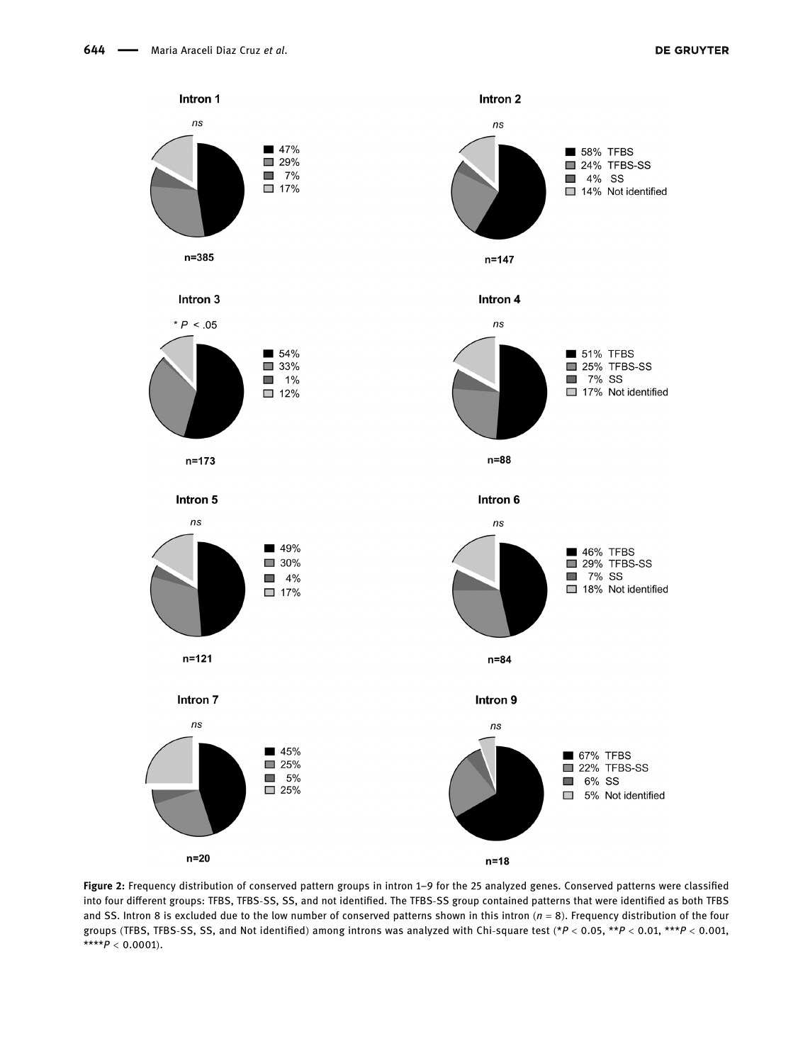<span id="page-4-0"></span>

Figure 2: Frequency distribution of conserved pattern groups in intron 1–9 for the 25 analyzed genes. Conserved patterns were classified into four different groups: TFBS, TFBS-SS, SS, and not identified. The TFBS-SS group contained patterns that were identified as both TFBS and SS. Intron 8 is excluded due to the low number of conserved patterns shown in this intron  $(n = 8)$ . Frequency distribution of the four groups (TFBS, TFBS-SS, SS, and Not identified) among introns was analyzed with Chi-square test (\*P < 0.05, \*\*P < 0.01, \*\*\*P < 0.001, \*\*\*\* $P < 0.0001$ ).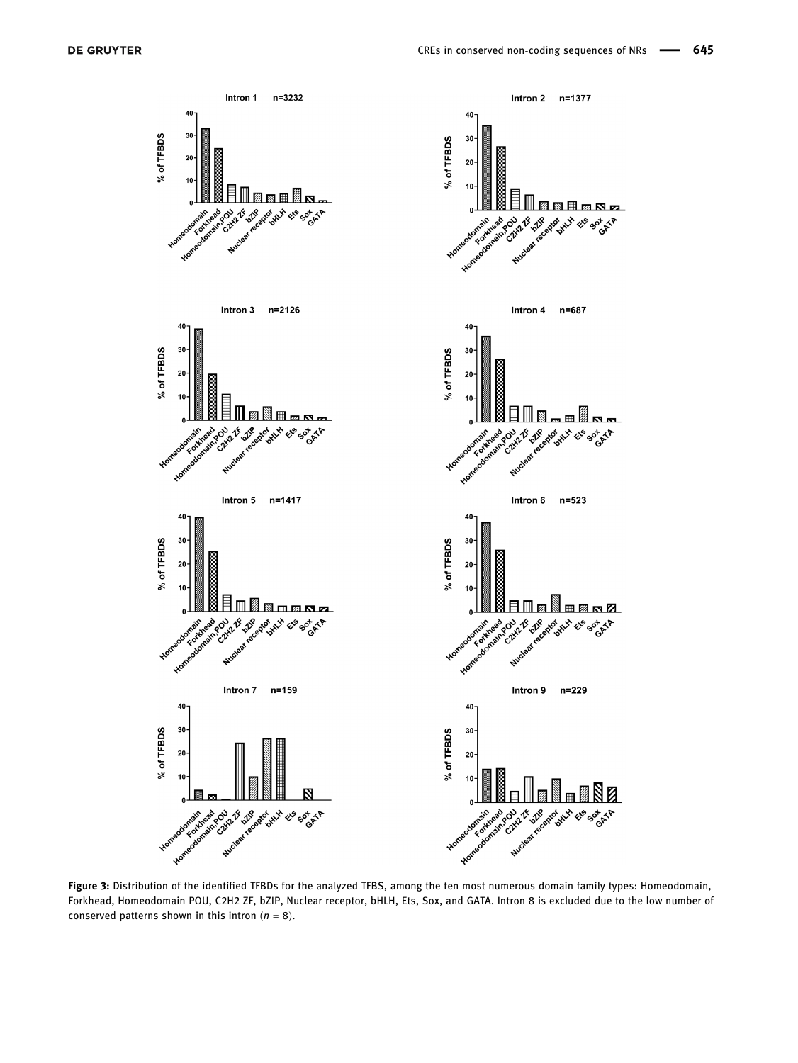



n=3232

Intron 1

 $40$ 

30

 $20$ 

 $10$ 

<span id="page-5-0"></span>% of TFBDS









Intron 6  $n = 523$ 

ى

 $40<sup>1</sup>$ 

Homeod



Intron 9 n=229





Figure 3: Distribution of the identified TFBDs for the analyzed TFBS, among the ten most numerous domain family types: Homeodomain, Forkhead, Homeodomain POU, C2H2 ZF, bZIP, Nuclear receptor, bHLH, Ets, Sox, and GATA. Intron 8 is excluded due to the low number of conserved patterns shown in this intron  $(n = 8)$ .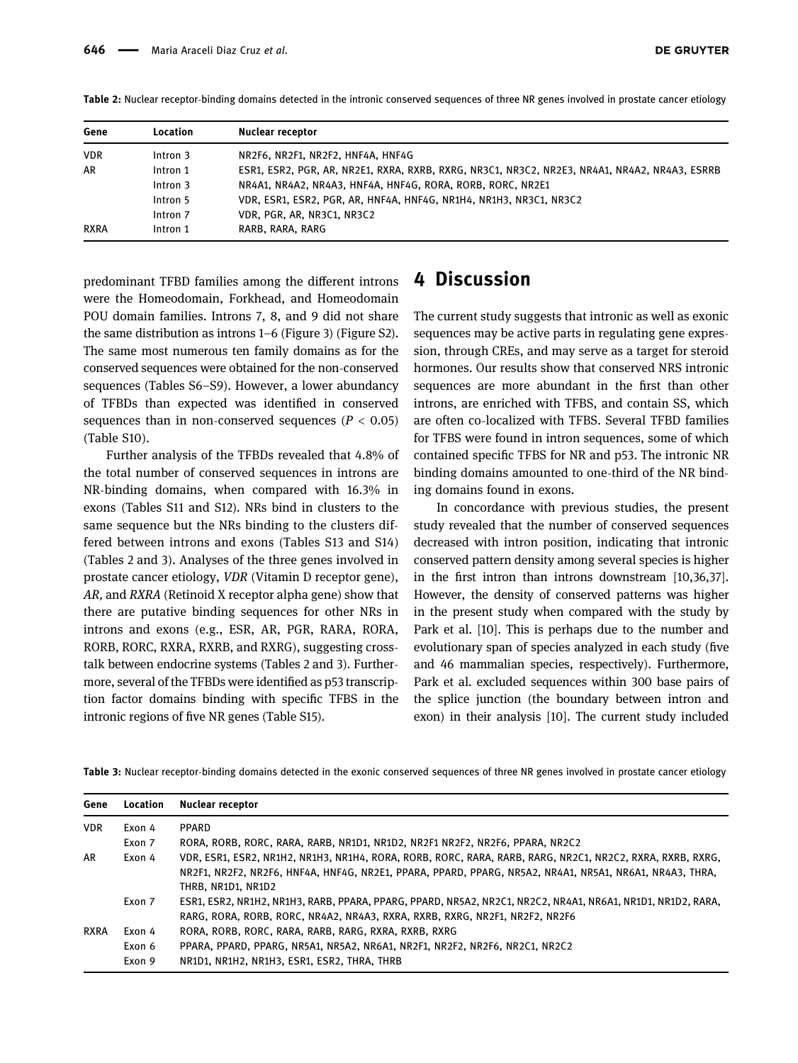| Gene        | <b>Location</b>     | Nuclear receptor                                                                              |
|-------------|---------------------|-----------------------------------------------------------------------------------------------|
| <b>VDR</b>  | Intron 3            | NR2F6, NR2F1, NR2F2, HNF4A, HNF4G                                                             |
| AR          | Intron 1            | ESR1, ESR2, PGR, AR, NR2E1, RXRA, RXRB, RXRG, NR3C1, NR3C2, NR2E3, NR4A1, NR4A2, NR4A3, ESRRB |
|             | Intron 3            | NR4A1, NR4A2, NR4A3, HNF4A, HNF4G, RORA, RORB, RORC, NR2E1                                    |
|             | Intron 5            | VDR, ESR1, ESR2, PGR, AR, HNF4A, HNF4G, NR1H4, NR1H3, NR3C1, NR3C2                            |
|             | Intron <sub>7</sub> | VDR, PGR, AR, NR3C1, NR3C2                                                                    |
| <b>RXRA</b> | Intron 1            | RARB, RARA, RARG                                                                              |

<span id="page-6-0"></span>Table 2: Nuclear receptor-binding domains detected in the intronic conserved sequences of three NR genes involved in prostate cancer etiology

predominant TFBD families among the different introns were the Homeodomain, Forkhead, and Homeodomain POU domain families. Introns 7, 8, and 9 did not share the same distribution as introns 1–6 ([Figure 3](#page-5-0)) (Figure S2). The same most numerous ten family domains as for the conserved sequences were obtained for the non-conserved sequences (Tables S6–S9). However, a lower abundancy of TFBDs than expected was identified in conserved sequences than in non-conserved sequences ( $P < 0.05$ ) (Table S10).

Further analysis of the TFBDs revealed that 4.8% of the total number of conserved sequences in introns are NR-binding domains, when compared with 16.3% in exons (Tables S11 and S12). NRs bind in clusters to the same sequence but the NRs binding to the clusters differed between introns and exons (Tables S13 and S14) ([Tables 2 and 3](#page-6-0)). Analyses of the three genes involved in prostate cancer etiology, VDR (Vitamin D receptor gene), AR, and RXRA (Retinoid X receptor alpha gene) show that there are putative binding sequences for other NRs in introns and exons (e.g., ESR, AR, PGR, RARA, RORA, RORB, RORC, RXRA, RXRB, and RXRG), suggesting crosstalk between endocrine systems ([Tables 2 and 3](#page-6-0)). Furthermore, several of the TFBDs were identified as p53 transcription factor domains binding with specific TFBS in the intronic regions of five NR genes (Table S15).

Gene Location Nuclear receptor

### 4 Discussion

The current study suggests that intronic as well as exonic sequences may be active parts in regulating gene expression, through CREs, and may serve as a target for steroid hormones. Our results show that conserved NRS intronic sequences are more abundant in the first than other introns, are enriched with TFBS, and contain SS, which are often co-localized with TFBS. Several TFBD families for TFBS were found in intron sequences, some of which contained specific TFBS for NR and p53. The intronic NR binding domains amounted to one-third of the NR binding domains found in exons.

In concordance with previous studies, the present study revealed that the number of conserved sequences decreased with intron position, indicating that intronic conserved pattern density among several species is higher in the first intron than introns downstream [[10,](#page-9-6)[36](#page-9-32),[37](#page-9-33)]. However, the density of conserved patterns was higher in the present study when compared with the study by Park et al. [[10](#page-9-6)]. This is perhaps due to the number and evolutionary span of species analyzed in each study (five and 46 mammalian species, respectively). Furthermore, Park et al. excluded sequences within 300 base pairs of the splice junction (the boundary between intron and exon) in their analysis [[10](#page-9-6)]. The current study included

|  |  |  |  |  | Table 3: Nuclear receptor-binding domains detected in the exonic conserved sequences of three NR genes involved in prostate cancer etiology |  |  |  |  |  |
|--|--|--|--|--|---------------------------------------------------------------------------------------------------------------------------------------------|--|--|--|--|--|
|  |  |  |  |  |                                                                                                                                             |  |  |  |  |  |

| LULALIUII | <b>NULICAL ICLEDIUI</b>                                                                                     |
|-----------|-------------------------------------------------------------------------------------------------------------|
| Exon 4    | <b>PPARD</b>                                                                                                |
| Exon 7    | RORA, RORB, RORC, RARA, RARB, NR1D1, NR1D2, NR2F1 NR2F2, NR2F6, PPARA, NR2C2                                |
| Exon 4    | VDR, ESR1, ESR2, NR1H2, NR1H3, NR1H4, RORA, RORB, RORC, RARA, RARB, RARG, NR2C1, NR2C2, RXRA, RXRB, RXRG,   |
|           | NR2F1, NR2F2, NR2F6, HNF4A, HNF4G, NR2E1, PPARA, PPARD, PPARG, NR5A2, NR4A1, NR5A1, NR6A1, NR4A3, THRA,     |
|           | THRB. NR1D1. NR1D2                                                                                          |
| Exon 7    | ESR1, ESR2, NR1H2, NR1H3, RARB, PPARA, PPARG, PPARD, NR5A2, NR2C1, NR2C2, NR4A1, NR6A1, NR1D1, NR1D2, RARA, |
|           | RARG, RORA, RORB, RORC, NR4A2, NR4A3, RXRA, RXRB, RXRG, NR2F1, NR2F2, NR2F6                                 |
| Exon 4    | RORA, RORB, RORC, RARA, RARB, RARG, RXRA, RXRB, RXRG                                                        |
| Exon 6    | PPARA, PPARD, PPARG, NR5A1, NR5A2, NR6A1, NR2F1, NR2F2, NR2F6, NR2C1, NR2C2                                 |
| Exon 9    | NR1D1, NR1H2, NR1H3, ESR1, ESR2, THRA, THRB                                                                 |
|           |                                                                                                             |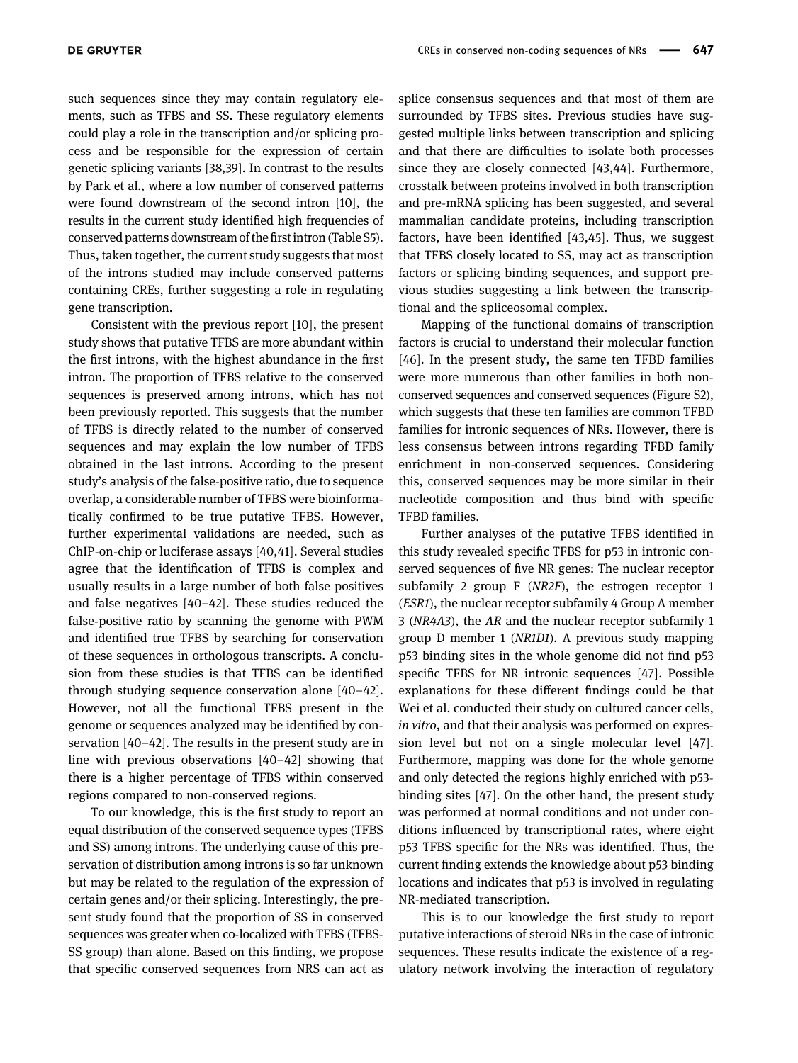such sequences since they may contain regulatory elements, such as TFBS and SS. These regulatory elements could play a role in the transcription and/or splicing process and be responsible for the expression of certain genetic splicing variants [[38](#page-9-34)[,39](#page-10-0)]. In contrast to the results by Park et al., where a low number of conserved patterns were found downstream of the second intron [[10](#page-9-6)], the results in the current study identified high frequencies of conserved patterns downstream of the first intron (Table S5). Thus, taken together, the current study suggests that most of the introns studied may include conserved patterns containing CREs, further suggesting a role in regulating gene transcription.

Consistent with the previous report [[10](#page-9-6)], the present study shows that putative TFBS are more abundant within the first introns, with the highest abundance in the first intron. The proportion of TFBS relative to the conserved sequences is preserved among introns, which has not been previously reported. This suggests that the number of TFBS is directly related to the number of conserved sequences and may explain the low number of TFBS obtained in the last introns. According to the present study's analysis of the false-positive ratio, due to sequence overlap, a considerable number of TFBS were bioinformatically confirmed to be true putative TFBS. However, further experimental validations are needed, such as ChIP-on-chip or luciferase assays [[40](#page-10-1)[,41](#page-10-2)]. Several studies agree that the identification of TFBS is complex and usually results in a large number of both false positives and false negatives [[40](#page-10-1)–[42](#page-10-3)]. These studies reduced the false-positive ratio by scanning the genome with PWM and identified true TFBS by searching for conservation of these sequences in orthologous transcripts. A conclusion from these studies is that TFBS can be identified through studying sequence conservation alone [[40](#page-10-1)–[42](#page-10-3)]. However, not all the functional TFBS present in the genome or sequences analyzed may be identified by conservation [[40](#page-10-1)–[42](#page-10-3)]. The results in the present study are in line with previous observations [[40](#page-10-1)–[42](#page-10-3)] showing that there is a higher percentage of TFBS within conserved regions compared to non-conserved regions.

To our knowledge, this is the first study to report an equal distribution of the conserved sequence types (TFBS and SS) among introns. The underlying cause of this preservation of distribution among introns is so far unknown but may be related to the regulation of the expression of certain genes and/or their splicing. Interestingly, the present study found that the proportion of SS in conserved sequences was greater when co-localized with TFBS (TFBS-SS group) than alone. Based on this finding, we propose that specific conserved sequences from NRS can act as

splice consensus sequences and that most of them are surrounded by TFBS sites. Previous studies have suggested multiple links between transcription and splicing and that there are difficulties to isolate both processes since they are closely connected [[43](#page-10-4),[44](#page-10-5)]. Furthermore, crosstalk between proteins involved in both transcription and pre-mRNA splicing has been suggested, and several mammalian candidate proteins, including transcription factors, have been identified [[43](#page-10-4)[,45](#page-10-6)]. Thus, we suggest that TFBS closely located to SS, may act as transcription factors or splicing binding sequences, and support previous studies suggesting a link between the transcriptional and the spliceosomal complex.

Mapping of the functional domains of transcription factors is crucial to understand their molecular function [[46](#page-10-7)]. In the present study, the same ten TFBD families were more numerous than other families in both nonconserved sequences and conserved sequences (Figure S2), which suggests that these ten families are common TFBD families for intronic sequences of NRs. However, there is less consensus between introns regarding TFBD family enrichment in non-conserved sequences. Considering this, conserved sequences may be more similar in their nucleotide composition and thus bind with specific TFBD families.

Further analyses of the putative TFBS identified in this study revealed specific TFBS for p53 in intronic conserved sequences of five NR genes: The nuclear receptor subfamily 2 group F (NR2F), the estrogen receptor 1 (ESR1), the nuclear receptor subfamily 4 Group A member 3 (NR4A3), the AR and the nuclear receptor subfamily 1 group D member 1 (NR1D1). A previous study mapping p53 binding sites in the whole genome did not find p53 specific TFBS for NR intronic sequences [[47](#page-10-8)]. Possible explanations for these different findings could be that Wei et al. conducted their study on cultured cancer cells, in vitro, and that their analysis was performed on expression level but not on a single molecular level [[47](#page-10-8)]. Furthermore, mapping was done for the whole genome and only detected the regions highly enriched with p53 binding sites [[47](#page-10-8)]. On the other hand, the present study was performed at normal conditions and not under conditions influenced by transcriptional rates, where eight p53 TFBS specific for the NRs was identified. Thus, the current finding extends the knowledge about p53 binding locations and indicates that p53 is involved in regulating NR-mediated transcription.

This is to our knowledge the first study to report putative interactions of steroid NRs in the case of intronic sequences. These results indicate the existence of a regulatory network involving the interaction of regulatory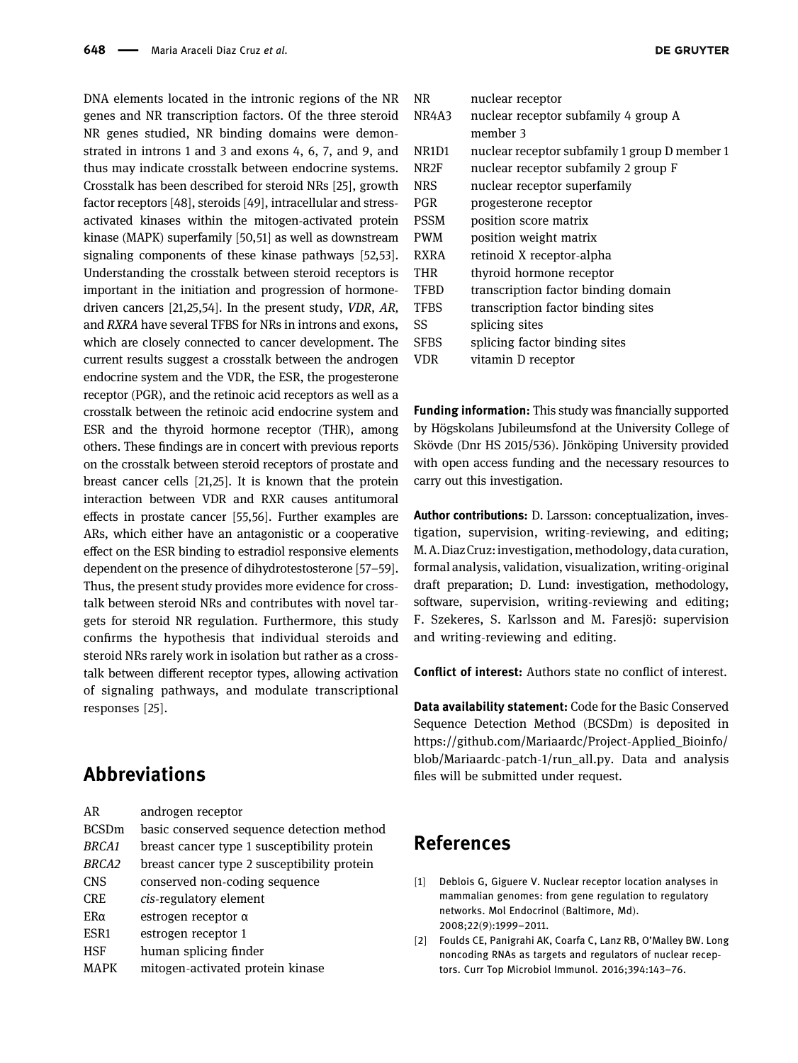DNA elements located in the intronic regions of the NR genes and NR transcription factors. Of the three steroid NR genes studied, NR binding domains were demonstrated in introns 1 and 3 and exons 4, 6, 7, and 9, and thus may indicate crosstalk between endocrine systems. Crosstalk has been described for steroid NRs [[25](#page-9-21)], growth factor receptors [[48](#page-10-9)], steroids [[49](#page-10-10)], intracellular and stressactivated kinases within the mitogen-activated protein kinase (MAPK) superfamily [[50](#page-10-11)[,51](#page-10-12)] as well as downstream signaling components of these kinase pathways [[52](#page-10-13)[,53](#page-10-14)]. Understanding the crosstalk between steroid receptors is important in the initiation and progression of hormonedriven cancers [[21,](#page-9-17)[25](#page-9-21)[,54](#page-10-15)]. In the present study, VDR, AR, and RXRA have several TFBS for NRs in introns and exons, which are closely connected to cancer development. The current results suggest a crosstalk between the androgen endocrine system and the VDR, the ESR, the progesterone receptor (PGR), and the retinoic acid receptors as well as a crosstalk between the retinoic acid endocrine system and ESR and the thyroid hormone receptor (THR), among others. These findings are in concert with previous reports on the crosstalk between steroid receptors of prostate and breast cancer cells [[21](#page-9-17),[25](#page-9-21)]. It is known that the protein interaction between VDR and RXR causes antitumoral effects in prostate cancer [[55](#page-10-16)[,56](#page-10-17)]. Further examples are ARs, which either have an antagonistic or a cooperative effect on the ESR binding to estradiol responsive elements dependent on the presence of dihydrotestosterone [[57](#page-10-18)–[59](#page-10-19)]. Thus, the present study provides more evidence for crosstalk between steroid NRs and contributes with novel targets for steroid NR regulation. Furthermore, this study confirms the hypothesis that individual steroids and steroid NRs rarely work in isolation but rather as a crosstalk between different receptor types, allowing activation of signaling pathways, and modulate transcriptional responses [[25](#page-9-21)].

# Abbreviations

| AR                | androgen receptor                           |
|-------------------|---------------------------------------------|
| <b>BCSDm</b>      | basic conserved sequence detection method   |
| BRCA <sub>1</sub> | breast cancer type 1 susceptibility protein |
| BRCA2             | breast cancer type 2 susceptibility protein |
| <b>CNS</b>        | conserved non-coding sequence               |
| <b>CRE</b>        | cis-regulatory element                      |
| $ER\alpha$        | estrogen receptor $\alpha$                  |
| ESR <sub>1</sub>  | estrogen receptor 1                         |
| <b>HSF</b>        | human splicing finder                       |
|                   |                                             |

MAPK mitogen-activated protein kinase

| NR          | nuclear receptor                              |
|-------------|-----------------------------------------------|
| NR4A3       | nuclear receptor subfamily 4 group A          |
|             | member 3                                      |
| NR1D1       | nuclear receptor subfamily 1 group D member 1 |
| NR2F        | nuclear receptor subfamily 2 group F          |
| <b>NRS</b>  | nuclear receptor superfamily                  |
| <b>PGR</b>  | progesterone receptor                         |
| <b>PSSM</b> | position score matrix                         |
| <b>PWM</b>  | position weight matrix                        |
| <b>RXRA</b> | retinoid X receptor-alpha                     |
| THR         | thyroid hormone receptor                      |
| <b>TFBD</b> | transcription factor binding domain           |
| <b>TFBS</b> | transcription factor binding sites            |
| SS          | splicing sites                                |
| <b>SFBS</b> | splicing factor binding sites                 |
| VDR         | vitamin D receptor                            |

Funding information: This study was financially supported by Högskolans Jubileumsfond at the University College of Skövde (Dnr HS 2015/536). Jönköping University provided with open access funding and the necessary resources to carry out this investigation.

Author contributions: D. Larsson: conceptualization, investigation, supervision, writing-reviewing, and editing; M.A.Diaz Cruz: investigation, methodology, data curation, formal analysis, validation, visualization, writing-original draft preparation; D. Lund: investigation, methodology, software, supervision, writing-reviewing and editing; F. Szekeres, S. Karlsson and M. Faresjö: supervision and writing-reviewing and editing.

Conflict of interest: Authors state no conflict of interest.

Data availability statement: Code for the Basic Conserved Sequence Detection Method (BCSDm) is deposited in [https://github.com/Mariaardc/Project](https://github.com/Mariaardc/Project-Applied_Bioinfo/blob/Mariaardc-patch-1/run_all.py)-Applied\_Bioinfo/ [blob/Mariaardc](https://github.com/Mariaardc/Project-Applied_Bioinfo/blob/Mariaardc-patch-1/run_all.py)-patch-1/run\_all.py. Data and analysis files will be submitted under request.

# References

- <span id="page-8-0"></span>[1] Deblois G, Giguere V. Nuclear receptor location analyses in mammalian genomes: from gene regulation to regulatory networks. Mol Endocrinol (Baltimore, Md). 2008;22(9):1999–2011.
- [2] Foulds CE, Panigrahi AK, Coarfa C, Lanz RB, O'Malley BW. Long noncoding RNAs as targets and regulators of nuclear receptors. Curr Top Microbiol Immunol. 2016;394:143–76.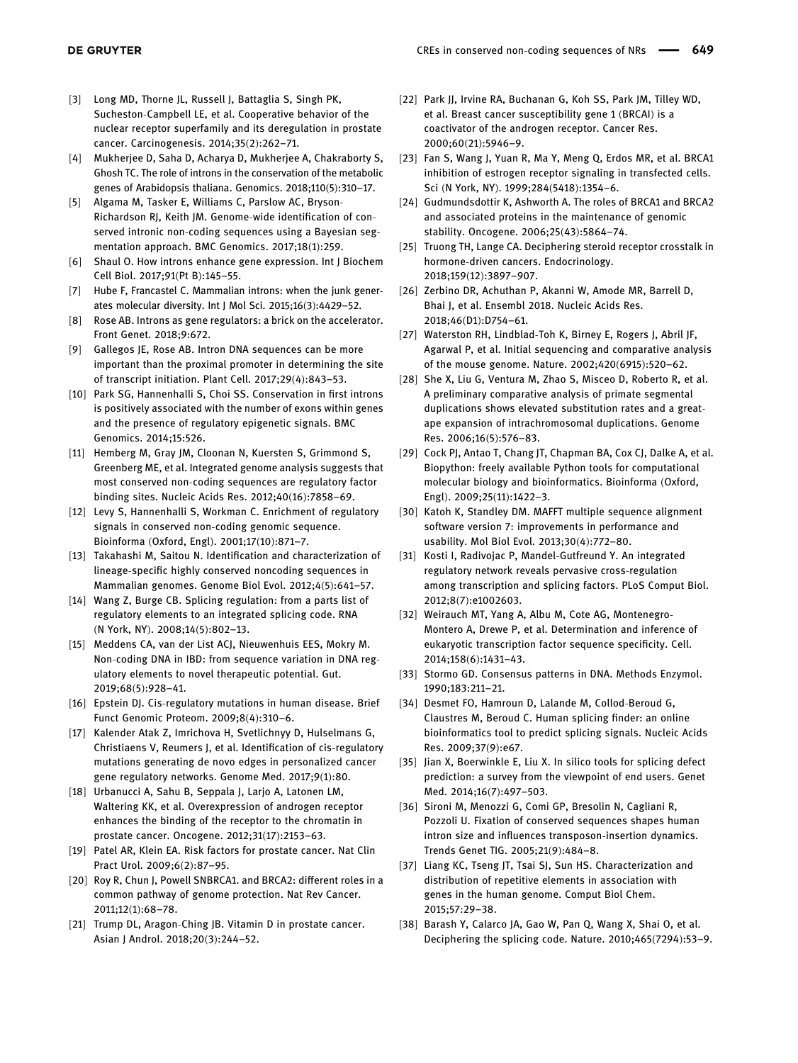- <span id="page-9-0"></span>[3] Long MD, Thorne JL, Russell J, Battaglia S, Singh PK, Sucheston-Campbell LE, et al. Cooperative behavior of the nuclear receptor superfamily and its deregulation in prostate cancer. Carcinogenesis. 2014;35(2):262–71.
- <span id="page-9-1"></span>[4] Mukherjee D, Saha D, Acharya D, Mukherjee A, Chakraborty S, Ghosh TC. The role of introns in the conservation of the metabolic genes of Arabidopsis thaliana. Genomics. 2018;110(5):310–17.
- <span id="page-9-9"></span>[5] Algama M, Tasker E, Williams C, Parslow AC, Bryson-Richardson RJ, Keith JM. Genome-wide identification of conserved intronic non-coding sequences using a Bayesian segmentation approach. BMC Genomics. 2017;18(1):259.
- <span id="page-9-3"></span>[6] Shaul O. How introns enhance gene expression. Int J Biochem Cell Biol. 2017;91(Pt B):145–55.
- <span id="page-9-2"></span>[7] Hube F, Francastel C. Mammalian introns: when the junk generates molecular diversity. Int J Mol Sci. 2015;16(3):4429–52.
- <span id="page-9-4"></span>[8] Rose AB. Introns as gene regulators: a brick on the accelerator. Front Genet. 2018;9:672.
- <span id="page-9-5"></span>[9] Gallegos JE, Rose AB. Intron DNA sequences can be more important than the proximal promoter in determining the site of transcript initiation. Plant Cell. 2017;29(4):843–53.
- <span id="page-9-6"></span>[10] Park SG, Hannenhalli S, Choi SS. Conservation in first introns is positively associated with the number of exons within genes and the presence of regulatory epigenetic signals. BMC Genomics. 2014;15:526.
- <span id="page-9-7"></span>[11] Hemberg M, Gray JM, Cloonan N, Kuersten S, Grimmond S, Greenberg ME, et al. Integrated genome analysis suggests that most conserved non-coding sequences are regulatory factor binding sites. Nucleic Acids Res. 2012;40(16):7858–69.
- <span id="page-9-8"></span>[12] Levy S, Hannenhalli S, Workman C. Enrichment of regulatory signals in conserved non-coding genomic sequence. Bioinforma (Oxford, Engl). 2001;17(10):871–7.
- <span id="page-9-10"></span>[13] Takahashi M, Saitou N. Identification and characterization of lineage-specific highly conserved noncoding sequences in Mammalian genomes. Genome Biol Evol. 2012;4(5):641–57.
- <span id="page-9-11"></span>[14] Wang Z, Burge CB. Splicing regulation: from a parts list of regulatory elements to an integrated splicing code. RNA (N York, NY). 2008;14(5):802–13.
- <span id="page-9-12"></span>[15] Meddens CA, van der List ACJ, Nieuwenhuis EES, Mokry M. Non-coding DNA in IBD: from sequence variation in DNA regulatory elements to novel therapeutic potential. Gut. 2019;68(5):928–41.
- [16] Epstein DJ. Cis-regulatory mutations in human disease. Brief Funct Genomic Proteom. 2009;8(4):310–6.
- <span id="page-9-13"></span>[17] Kalender Atak Z, Imrichova H, Svetlichnyy D, Hulselmans G, Christiaens V, Reumers J, et al. Identification of cis-regulatory mutations generating de novo edges in personalized cancer gene regulatory networks. Genome Med. 2017;9(1):80.
- <span id="page-9-14"></span>[18] Urbanucci A, Sahu B, Seppala J, Larjo A, Latonen LM, Waltering KK, et al. Overexpression of androgen receptor enhances the binding of the receptor to the chromatin in prostate cancer. Oncogene. 2012;31(17):2153–63.
- <span id="page-9-15"></span>[19] Patel AR, Klein EA. Risk factors for prostate cancer. Nat Clin Pract Urol. 2009;6(2):87–95.
- <span id="page-9-16"></span>[20] Roy R, Chun J, Powell SNBRCA1. and BRCA2: different roles in a common pathway of genome protection. Nat Rev Cancer. 2011;12(1):68–78.
- <span id="page-9-17"></span>[21] Trump DL, Aragon-Ching JB. Vitamin D in prostate cancer. Asian J Androl. 2018;20(3):244–52.
- <span id="page-9-18"></span>[22] Park JJ, Irvine RA, Buchanan G, Koh SS, Park JM, Tilley WD, et al. Breast cancer susceptibility gene 1 (BRCAI) is a coactivator of the androgen receptor. Cancer Res. 2000;60(21):5946–9.
- <span id="page-9-19"></span>[23] Fan S, Wang J, Yuan R, Ma Y, Meng Q, Erdos MR, et al. BRCA1 inhibition of estrogen receptor signaling in transfected cells. Sci (N York, NY). 1999;284(5418):1354–6.
- <span id="page-9-20"></span>[24] Gudmundsdottir K, Ashworth A. The roles of BRCA1 and BRCA2 and associated proteins in the maintenance of genomic stability. Oncogene. 2006;25(43):5864–74.
- <span id="page-9-21"></span>[25] Truong TH, Lange CA. Deciphering steroid receptor crosstalk in hormone-driven cancers. Endocrinology. 2018;159(12):3897–907.
- <span id="page-9-22"></span>[26] Zerbino DR, Achuthan P, Akanni W, Amode MR, Barrell D, Bhai J, et al. Ensembl 2018. Nucleic Acids Res. 2018;46(D1):D754–61.
- <span id="page-9-23"></span>[27] Waterston RH, Lindblad-Toh K, Birney E, Rogers J, Abril JF, Agarwal P, et al. Initial sequencing and comparative analysis of the mouse genome. Nature. 2002;420(6915):520–62.
- <span id="page-9-24"></span>[28] She X, Liu G, Ventura M, Zhao S, Misceo D, Roberto R, et al. A preliminary comparative analysis of primate segmental duplications shows elevated substitution rates and a greatape expansion of intrachromosomal duplications. Genome Res. 2006;16(5):576–83.
- <span id="page-9-25"></span>[29] Cock PJ, Antao T, Chang JT, Chapman BA, Cox CJ, Dalke A, et al. Biopython: freely available Python tools for computational molecular biology and bioinformatics. Bioinforma (Oxford, Engl). 2009;25(11):1422–3.
- <span id="page-9-26"></span>[30] Katoh K, Standley DM. MAFFT multiple sequence alignment software version 7: improvements in performance and usability. Mol Biol Evol. 2013;30(4):772–80.
- <span id="page-9-27"></span>[31] Kosti I, Radivojac P, Mandel-Gutfreund Y. An integrated regulatory network reveals pervasive cross-regulation among transcription and splicing factors. PLoS Comput Biol. 2012;8(7):e1002603.
- <span id="page-9-28"></span>[32] Weirauch MT, Yang A, Albu M, Cote AG, Montenegro-Montero A, Drewe P, et al. Determination and inference of eukaryotic transcription factor sequence specificity. Cell. 2014;158(6):1431–43.
- <span id="page-9-29"></span>[33] Stormo GD. Consensus patterns in DNA. Methods Enzymol. 1990;183:211–21.
- <span id="page-9-30"></span>[34] Desmet FO, Hamroun D, Lalande M, Collod-Beroud G, Claustres M, Beroud C. Human splicing finder: an online bioinformatics tool to predict splicing signals. Nucleic Acids Res. 2009;37(9):e67.
- <span id="page-9-31"></span>[35] Jian X, Boerwinkle E, Liu X. In silico tools for splicing defect prediction: a survey from the viewpoint of end users. Genet Med. 2014;16(7):497–503.
- <span id="page-9-32"></span>[36] Sironi M, Menozzi G, Comi GP, Bresolin N, Cagliani R, Pozzoli U. Fixation of conserved sequences shapes human intron size and influences transposon-insertion dynamics. Trends Genet TIG. 2005;21(9):484–8.
- <span id="page-9-33"></span>[37] Liang KC, Tseng JT, Tsai SJ, Sun HS. Characterization and distribution of repetitive elements in association with genes in the human genome. Comput Biol Chem. 2015;57:29–38.
- <span id="page-9-34"></span>[38] Barash Y, Calarco JA, Gao W, Pan Q, Wang X, Shai O, et al. Deciphering the splicing code. Nature. 2010;465(7294):53–9.